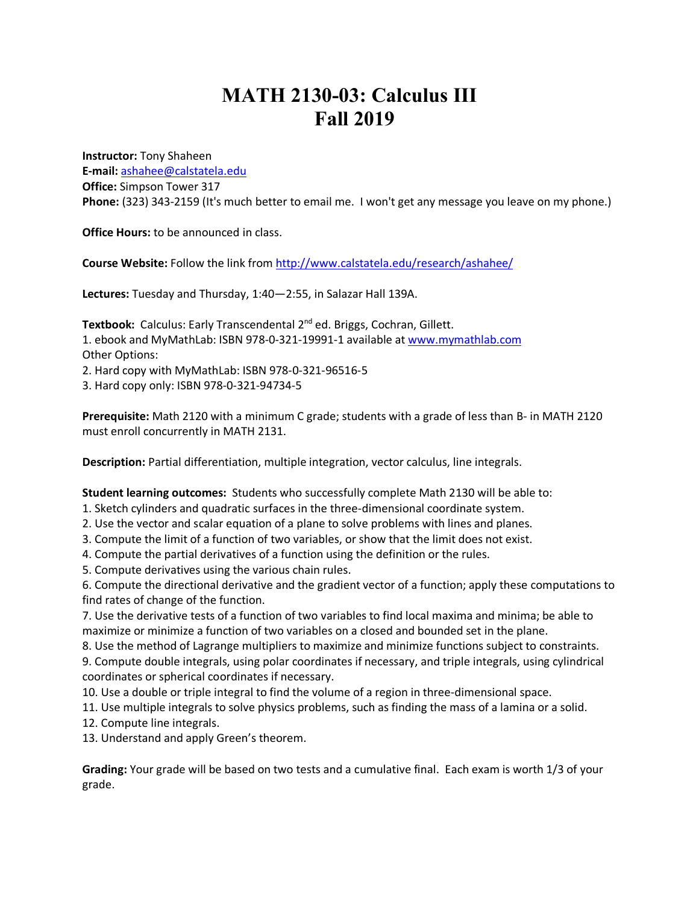## **MATH 2130-03: Calculus III Fall 2019**

**Instructor:** Tony Shaheen **E-mail:** ashahee@calstatela.edu **Office:** Simpson Tower 317 **Phone:** (323) 343-2159 (It's much better to email me. I won't get any message you leave on my phone.)

**Office Hours:** to be announced in class.

**Course Website:** Follow the link from http://www.calstatela.edu/research/ashahee/

**Lectures:** Tuesday and Thursday, 1:40—2:55, in Salazar Hall 139A.

**Textbook:** Calculus: Early Transcendental 2<sup>nd</sup> ed. Briggs, Cochran, Gillett. 1. ebook and MyMathLab: ISBN 978-0-321-19991-1 available at www.mymathlab.com Other Options: 2. Hard copy with MyMathLab: ISBN 978-0-321-96516-5

3. Hard copy only: ISBN 978-0-321-94734-5

**Prerequisite:** Math 2120 with a minimum C grade; students with a grade of less than B- in MATH 2120 must enroll concurrently in MATH 2131.

**Description:** Partial differentiation, multiple integration, vector calculus, line integrals.

**Student learning outcomes:** Students who successfully complete Math 2130 will be able to:

1. Sketch cylinders and quadratic surfaces in the three-dimensional coordinate system.

2. Use the vector and scalar equation of a plane to solve problems with lines and planes.

3. Compute the limit of a function of two variables, or show that the limit does not exist.

4. Compute the partial derivatives of a function using the definition or the rules.

5. Compute derivatives using the various chain rules.

6. Compute the directional derivative and the gradient vector of a function; apply these computations to find rates of change of the function.

7. Use the derivative tests of a function of two variables to find local maxima and minima; be able to maximize or minimize a function of two variables on a closed and bounded set in the plane.

8. Use the method of Lagrange multipliers to maximize and minimize functions subject to constraints.

9. Compute double integrals, using polar coordinates if necessary, and triple integrals, using cylindrical coordinates or spherical coordinates if necessary.

10. Use a double or triple integral to find the volume of a region in three-dimensional space.

11. Use multiple integrals to solve physics problems, such as finding the mass of a lamina or a solid.

12. Compute line integrals.

13. Understand and apply Green's theorem.

**Grading:** Your grade will be based on two tests and a cumulative final. Each exam is worth 1/3 of your grade.